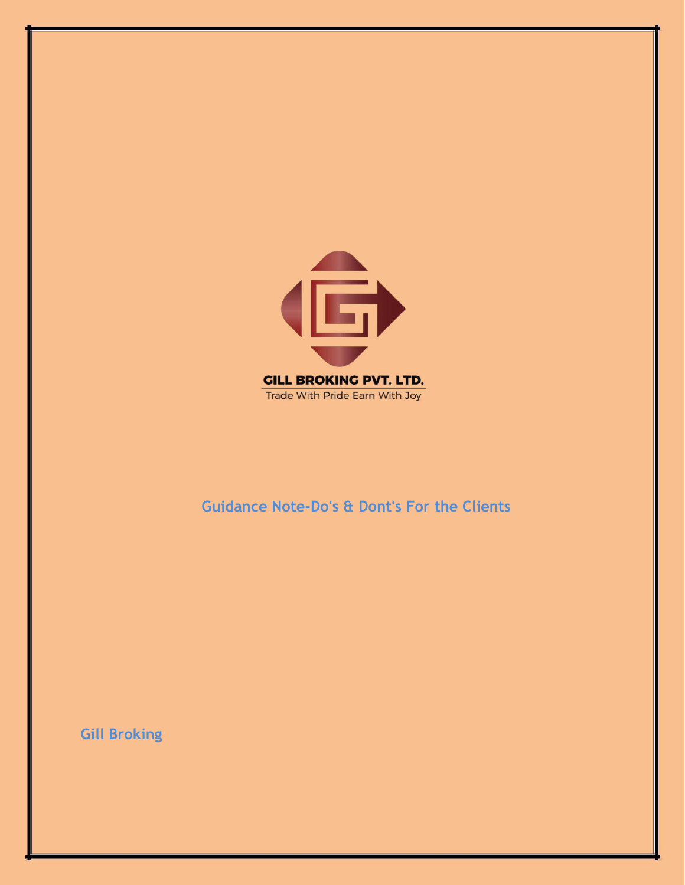

## **Guidance Note-Do's & Dont's For the Clients**

**Gill Broking**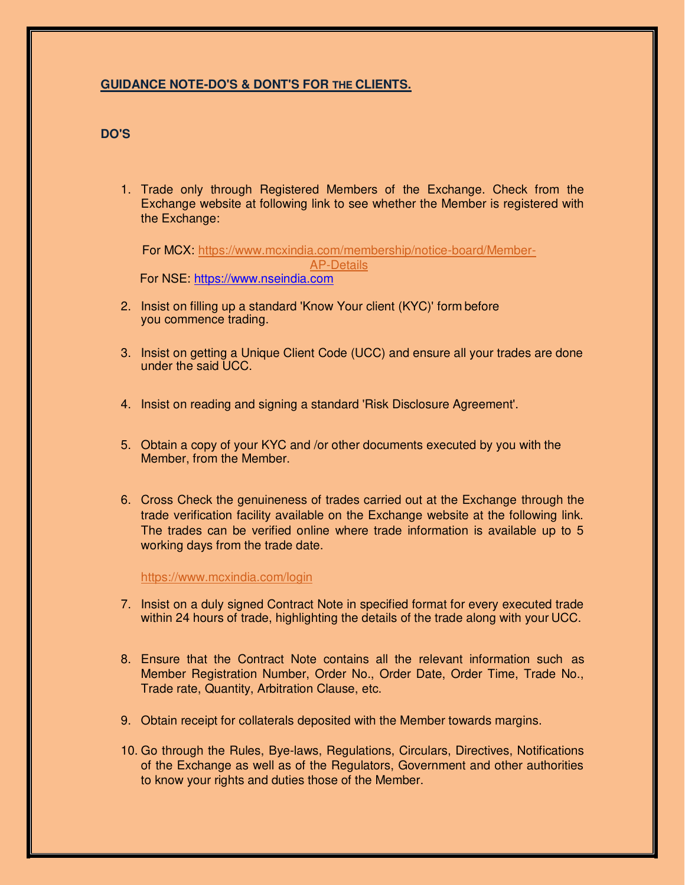## **GUIDANCE NOTE-DO'S & DONT'S FOR THE CLIENTS.**

## **DO'S**

1. Trade only through Registered Members of the Exchange. Check from the Exchange website at following link to see whether the Member is registered with the Exchange:

For MCX: [https://www.mcxindia.com/membership/notice-board/Member-](https://www.mcxindia.com/membership/notice-board/Member-AP-Details)[AP-Details](https://www.mcxindia.com/membership/notice-board/Member-AP-Details) 

For NSE: [https://www.nseindia.com](https://www.nseindia.com/)

- 2. Insist on filling up a standard 'Know Your client (KYC)' form before you commence trading.
- 3. Insist on getting a Unique Client Code (UCC) and ensure all your trades are done under the said UCC.
- 4. Insist on reading and signing a standard 'Risk Disclosure Agreement'.
- 5. Obtain a copy of your KYC and /or other documents executed by you with the Member, from the Member.
- 6. Cross Check the genuineness of trades carried out at the Exchange through the trade verification facility available on the Exchange website at the following link. The trades can be verified online where trade information is available up to 5 working days from the trade date.

<https://www.mcxindia.com/login>

- 7. Insist on a duly signed Contract Note in specified format for every executed trade within 24 hours of trade, highlighting the details of the trade along with your UCC.
- 8. Ensure that the Contract Note contains all the relevant information such as Member Registration Number, Order No., Order Date, Order Time, Trade No., Trade rate, Quantity, Arbitration Clause, etc.
- 9. Obtain receipt for collaterals deposited with the Member towards margins.
- 10. Go through the Rules, Bye-laws, Regulations, Circulars, Directives, Notifications of the Exchange as well as of the Regulators, Government and other authorities to know your rights and duties those of the Member.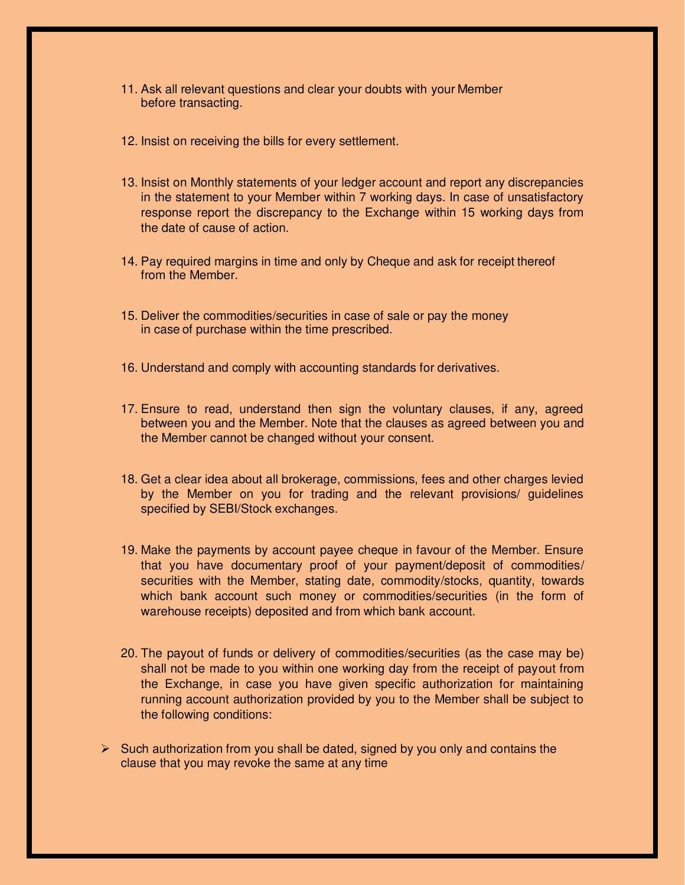- 11. Ask all relevant questions and clear your doubts with your Member before transacting.
- 12. Insist on receiving the bills for every settlement.
- 13. Insist on Monthly statements of your ledger account and report any discrepancies in the statement to your Member within 7 working days. In case of unsatisfactory response report the discrepancy to the Exchange within 15 working days from the date of cause of action.
- 14. Pay required margins in time and only by Cheque and ask for receipt thereof from the Member.
- 15. Deliver the commodities/securities in case of sale or pay the money in case of purchase within the time prescribed.
- 16. Understand and comply with accounting standards for derivatives.
- 17. Ensure to read, understand then sign the voluntary clauses, if any, agreed between you and the Member. Note that the clauses as agreed between you and the Member cannot be changed without your consent.
- 18. Get a clear idea about all brokerage, commissions, fees and other charges levied by the Member on you for trading and the relevant provisions/ guidelines specified by SEBI/Stock exchanges.
- 19. Make the payments by account payee cheque in favour of the Member. Ensure that you have documentary proof of your payment/deposit of commodities/ securities with the Member, stating date, commodity/stocks, quantity, towards which bank account such money or commodities/securities (in the form of warehouse receipts) deposited and from which bank account.
- 20. The payout of funds or delivery of commodities/securities (as the case may be) shall not be made to you within one working day from the receipt of payout from the Exchange, in case you have given specific authorization for maintaining running account authorization provided by you to the Member shall be subject to the following conditions:
- $\triangleright$  Such authorization from you shall be dated, signed by you only and contains the clause that you may revoke the same at any time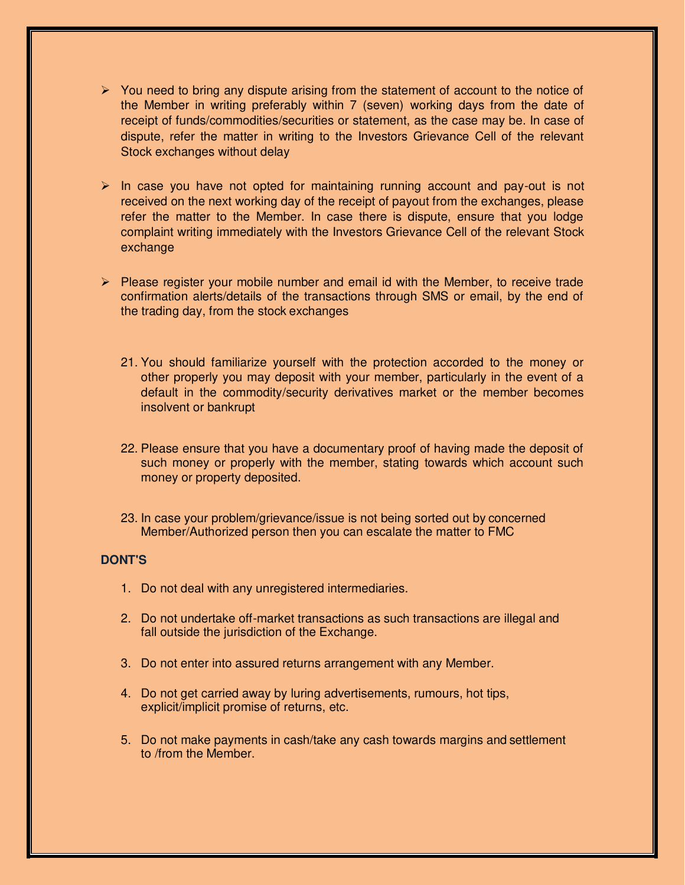- $\triangleright$  You need to bring any dispute arising from the statement of account to the notice of the Member in writing preferably within 7 (seven) working days from the date of receipt of funds/commodities/securities or statement, as the case may be. In case of dispute, refer the matter in writing to the Investors Grievance Cell of the relevant Stock exchanges without delay
- $\triangleright$  In case you have not opted for maintaining running account and pay-out is not received on the next working day of the receipt of payout from the exchanges, please refer the matter to the Member. In case there is dispute, ensure that you lodge complaint writing immediately with the Investors Grievance Cell of the relevant Stock exchange
- $\triangleright$  Please register your mobile number and email id with the Member, to receive trade confirmation alerts/details of the transactions through SMS or email, by the end of the trading day, from the stock exchanges
	- 21. You should familiarize yourself with the protection accorded to the money or other properly you may deposit with your member, particularly in the event of a default in the commodity/security derivatives market or the member becomes insolvent or bankrupt
	- 22. Please ensure that you have a documentary proof of having made the deposit of such money or properly with the member, stating towards which account such money or property deposited.
	- 23. In case your problem/grievance/issue is not being sorted out by concerned Member/Authorized person then you can escalate the matter to FMC

## **DONT'S**

- 1. Do not deal with any unregistered intermediaries.
- 2. Do not undertake off-market transactions as such transactions are illegal and fall outside the jurisdiction of the Exchange.
- 3. Do not enter into assured returns arrangement with any Member.
- 4. Do not get carried away by luring advertisements, rumours, hot tips, explicit/implicit promise of returns, etc.
- 5. Do not make payments in cash/take any cash towards margins and settlement to /from the Member.